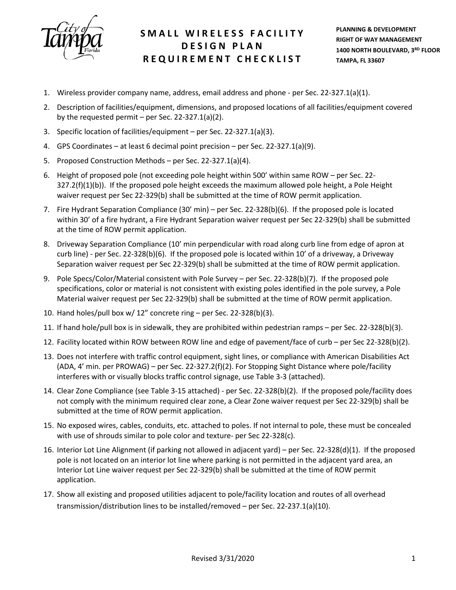

## **SMALL WIRELESS F ACILITY DESIGN PLAN REQUIREMENT CHECKLIST**

- 1. Wireless provider company name, address, email address and phone per Sec. 22-327.1(a)(1).
- 2. Description of facilities/equipment, dimensions, and proposed locations of all facilities/equipment covered by the requested permit – per Sec. 22-327.1(a)(2).
- 3. Specific location of facilities/equipment per Sec. 22-327.1(a)(3).
- 4. GPS Coordinates at least 6 decimal point precision per Sec. 22-327.1(a)(9).
- 5. Proposed Construction Methods per Sec. 22-327.1(a)(4).
- 6. Height of proposed pole (not exceeding pole height within 500' within same ROW per Sec. 22- 327.2(f)(1)(b)). If the proposed pole height exceeds the maximum allowed pole height, a Pole Height waiver request per Sec 22-329(b) shall be submitted at the time of ROW permit application.
- 7. Fire Hydrant Separation Compliance (30' min) per Sec. 22-328(b)(6). If the proposed pole is located within 30' of a fire hydrant, a Fire Hydrant Separation waiver request per Sec 22-329(b) shall be submitted at the time of ROW permit application.
- 8. Driveway Separation Compliance (10' min perpendicular with road along curb line from edge of apron at curb line) - per Sec. 22-328(b)(6). If the proposed pole is located within 10' of a driveway, a Driveway Separation waiver request per Sec 22-329(b) shall be submitted at the time of ROW permit application.
- 9. Pole Specs/Color/Material consistent with Pole Survey per Sec. 22-328(b)(7). If the proposed pole specifications, color or material is not consistent with existing poles identified in the pole survey, a Pole Material waiver request per Sec 22-329(b) shall be submitted at the time of ROW permit application.
- 10. Hand holes/pull box w/ 12" concrete ring per Sec. 22-328(b)(3).
- 11. If hand hole/pull box is in sidewalk, they are prohibited within pedestrian ramps per Sec. 22-328(b)(3).
- 12. Facility located within ROW between ROW line and edge of pavement/face of curb per Sec 22-328(b)(2).
- 13. Does not interfere with traffic control equipment, sight lines, or compliance with American Disabilities Act (ADA, 4' min. per PROWAG) – per Sec. 22-327.2(f)(2). For Stopping Sight Distance where pole/facility interferes with or visually blocks traffic control signage, use Table 3-3 (attached).
- 14. Clear Zone Compliance (see Table 3-15 attached) per Sec. 22-328(b)(2). If the proposed pole/facility does not comply with the minimum required clear zone, a Clear Zone waiver request per Sec 22-329(b) shall be submitted at the time of ROW permit application.
- 15. No exposed wires, cables, conduits, etc. attached to poles. If not internal to pole, these must be concealed with use of shrouds similar to pole color and texture- per Sec 22-328(c).
- 16. Interior Lot Line Alignment (if parking not allowed in adjacent yard) per Sec. 22-328(d)(1). If the proposed pole is not located on an interior lot line where parking is not permitted in the adjacent yard area, an Interior Lot Line waiver request per Sec 22-329(b) shall be submitted at the time of ROW permit application.
- 17. Show all existing and proposed utilities adjacent to pole/facility location and routes of all overhead transmission/distribution lines to be installed/removed – per Sec. 22-237.1(a)(10).